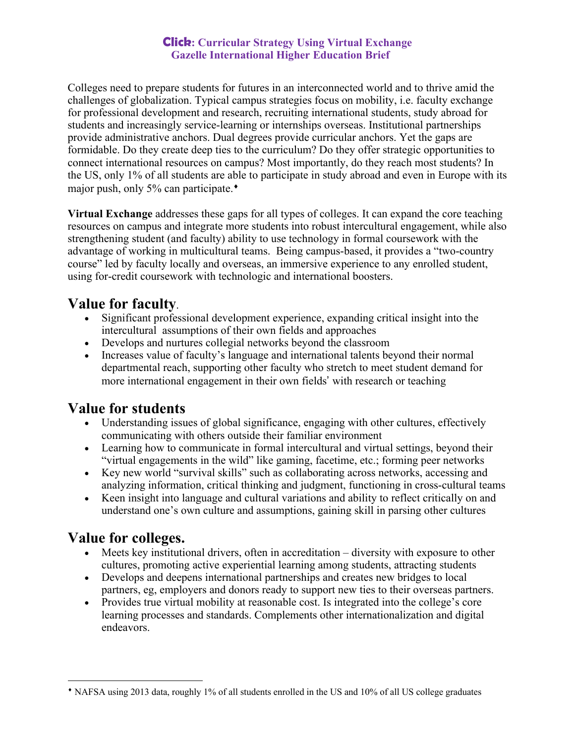## **Click: Curricular Strategy Using Virtual Exchange Gazelle International Higher Education Brief**

Colleges need to prepare students for futures in an interconnected world and to thrive amid the challenges of globalization. Typical campus strategies focus on mobility, i.e. faculty exchange for professional development and research, recruiting international students, study abroad for students and increasingly service-learning or internships overseas. Institutional partnerships provide administrative anchors. Dual degrees provide curricular anchors. Yet the gaps are formidable. Do they create deep ties to the curriculum? Do they offer strategic opportunities to connect international resources on campus? Most importantly, do they reach most students? In the US, only 1% of all students are able to participate in study abroad and even in Europe with its major push, only 5% can participate.<sup> $\bullet$ </sup>

**Virtual Exchange** addresses these gaps for all types of colleges. It can expand the core teaching resources on campus and integrate more students into robust intercultural engagement, while also strengthening student (and faculty) ability to use technology in formal coursework with the advantage of working in multicultural teams. Being campus-based, it provides a "two-country course" led by faculty locally and overseas, an immersive experience to any enrolled student, using for-credit coursework with technologic and international boosters.

# **Value for faculty**.

- Significant professional development experience, expanding critical insight into the intercultural assumptions of their own fields and approaches
- Develops and nurtures collegial networks beyond the classroom
- Increases value of faculty's language and international talents beyond their normal departmental reach, supporting other faculty who stretch to meet student demand for more international engagement in their own fields' with research or teaching

## **Value for students**

- Understanding issues of global significance, engaging with other cultures, effectively communicating with others outside their familiar environment
- Learning how to communicate in formal intercultural and virtual settings, beyond their "virtual engagements in the wild" like gaming, facetime, etc.; forming peer networks
- Key new world "survival skills" such as collaborating across networks, accessing and analyzing information, critical thinking and judgment, functioning in cross-cultural teams
- Keen insight into language and cultural variations and ability to reflect critically on and understand one's own culture and assumptions, gaining skill in parsing other cultures

## **Value for colleges.**

l

- Meets key institutional drivers, often in accreditation diversity with exposure to other cultures, promoting active experiential learning among students, attracting students
- Develops and deepens international partnerships and creates new bridges to local partners, eg, employers and donors ready to support new ties to their overseas partners.
- Provides true virtual mobility at reasonable cost. Is integrated into the college's core learning processes and standards. Complements other internationalization and digital endeavors.

<sup>¨</sup> NAFSA using 2013 data, roughly 1% of all students enrolled in the US and 10% of all US college graduates